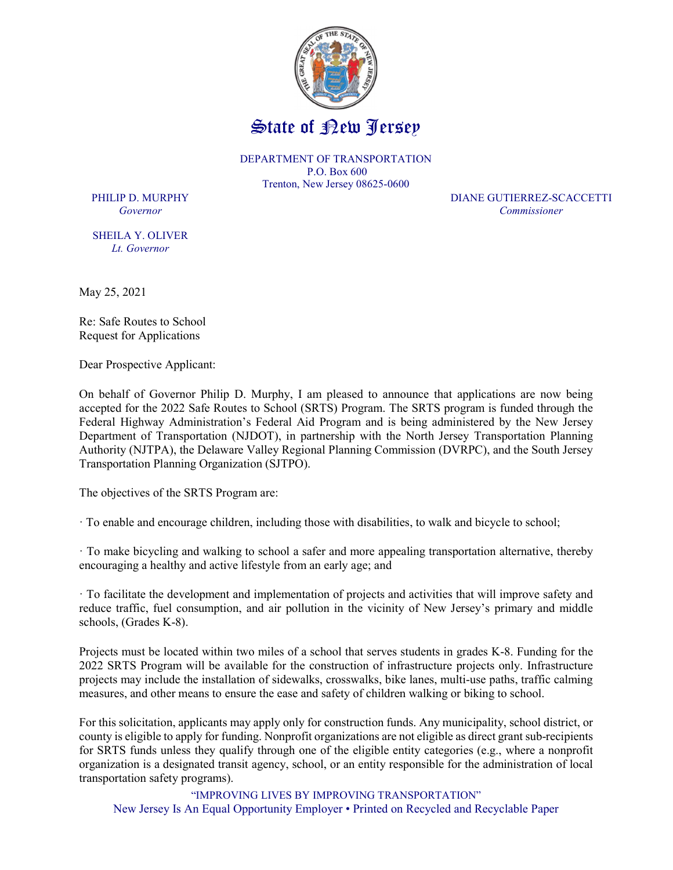

DEPARTMENT OF TRANSPORTATION P.O. Box 600 Trenton, New Jersey 08625-0600

SHEILA Y. OLIVER Lt. Governor

PHILIP D. MURPHY DIANE GUTIERREZ-SCACCETTI Governor Commissioner

May 25, 2021

Re: Safe Routes to School Request for Applications

Dear Prospective Applicant:

On behalf of Governor Philip D. Murphy, I am pleased to announce that applications are now being accepted for the 2022 Safe Routes to School (SRTS) Program. The SRTS program is funded through the Federal Highway Administration's Federal Aid Program and is being administered by the New Jersey Department of Transportation (NJDOT), in partnership with the North Jersey Transportation Planning Authority (NJTPA), the Delaware Valley Regional Planning Commission (DVRPC), and the South Jersey Transportation Planning Organization (SJTPO).

The objectives of the SRTS Program are:

· To enable and encourage children, including those with disabilities, to walk and bicycle to school;

· To make bicycling and walking to school a safer and more appealing transportation alternative, thereby encouraging a healthy and active lifestyle from an early age; and

· To facilitate the development and implementation of projects and activities that will improve safety and reduce traffic, fuel consumption, and air pollution in the vicinity of New Jersey's primary and middle schools, (Grades K-8).

Projects must be located within two miles of a school that serves students in grades K-8. Funding for the 2022 SRTS Program will be available for the construction of infrastructure projects only. Infrastructure projects may include the installation of sidewalks, crosswalks, bike lanes, multi-use paths, traffic calming measures, and other means to ensure the ease and safety of children walking or biking to school.

For this solicitation, applicants may apply only for construction funds. Any municipality, school district, or county is eligible to apply for funding. Nonprofit organizations are not eligible as direct grant sub-recipients for SRTS funds unless they qualify through one of the eligible entity categories (e.g., where a nonprofit organization is a designated transit agency, school, or an entity responsible for the administration of local transportation safety programs).

"IMPROVING LIVES BY IMPROVING TRANSPORTATION" New Jersey Is An Equal Opportunity Employer • Printed on Recycled and Recyclable Paper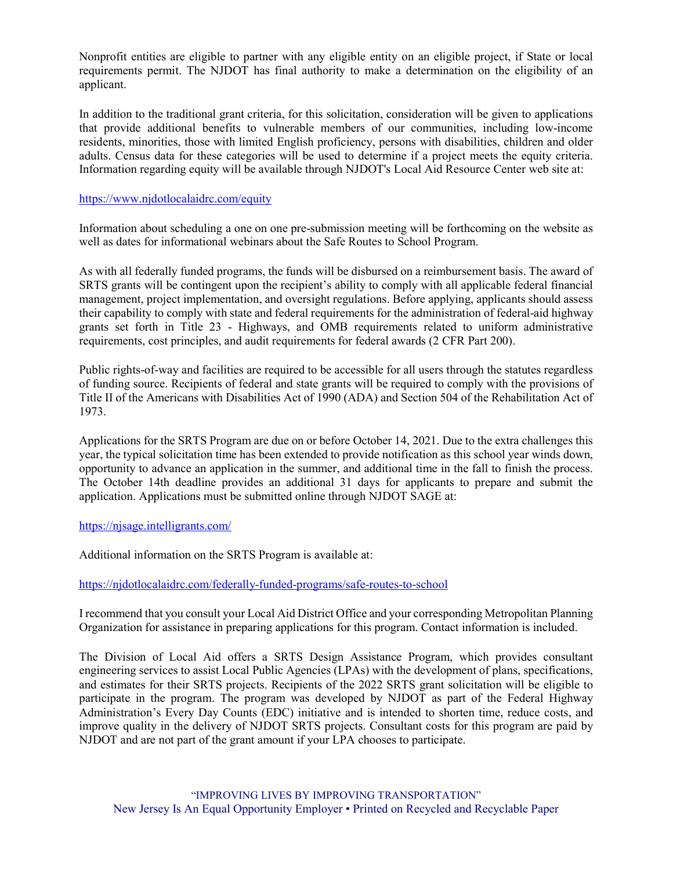Nonprofit entities are eligible to partner with any eligible entity on an eligible project, if State or local requirements permit. The NJDOT has final authority to make a determination on the eligibility of an applicant.

In addition to the traditional grant criteria, for this solicitation, consideration will be given to applications that provide additional benefits to vulnerable members of our communities, including low-income residents, minorities, those with limited English proficiency, persons with disabilities, children and older adults. Census data for these categories will be used to determine if a project meets the equity criteria. Information regarding equity will be available through NJDOT's Local Aid Resource Center web site at:

## https://www.njdotlocalaidrc.com/equity

Information about scheduling a one on one pre-submission meeting will be forthcoming on the website as well as dates for informational webinars about the Safe Routes to School Program.

As with all federally funded programs, the funds will be disbursed on a reimbursement basis. The award of SRTS grants will be contingent upon the recipient's ability to comply with all applicable federal financial management, project implementation, and oversight regulations. Before applying, applicants should assess their capability to comply with state and federal requirements for the administration of federal-aid highway grants set forth in Title 23 - Highways, and OMB requirements related to uniform administrative requirements, cost principles, and audit requirements for federal awards (2 CFR Part 200).

Public rights-of-way and facilities are required to be accessible for all users through the statutes regardless of funding source. Recipients of federal and state grants will be required to comply with the provisions of Title II of the Americans with Disabilities Act of 1990 (ADA) and Section 504 of the Rehabilitation Act of 1973.

Applications for the SRTS Program are due on or before October 14, 2021. Due to the extra challenges this year, the typical solicitation time has been extended to provide notification as this school year winds down, opportunity to advance an application in the summer, and additional time in the fall to finish the process. The October 14th deadline provides an additional 31 days for applicants to prepare and submit the application. Applications must be submitted online through NJDOT SAGE at:

## https://njsage.intelligrants.com/

Additional information on the SRTS Program is available at:

https://njdotlocalaidrc.com/federally-funded-programs/safe-routes-to-school

I recommend that you consult your Local Aid District Office and your corresponding Metropolitan Planning Organization for assistance in preparing applications for this program. Contact information is included.

The Division of Local Aid offers a SRTS Design Assistance Program, which provides consultant engineering services to assist Local Public Agencies (LPAs) with the development of plans, specifications, and estimates for their SRTS projects. Recipients of the 2022 SRTS grant solicitation will be eligible to participate in the program. The program was developed by NJDOT as part of the Federal Highway Administration's Every Day Counts (EDC) initiative and is intended to shorten time, reduce costs, and improve quality in the delivery of NJDOT SRTS projects. Consultant costs for this program are paid by NJDOT and are not part of the grant amount if your LPA chooses to participate.